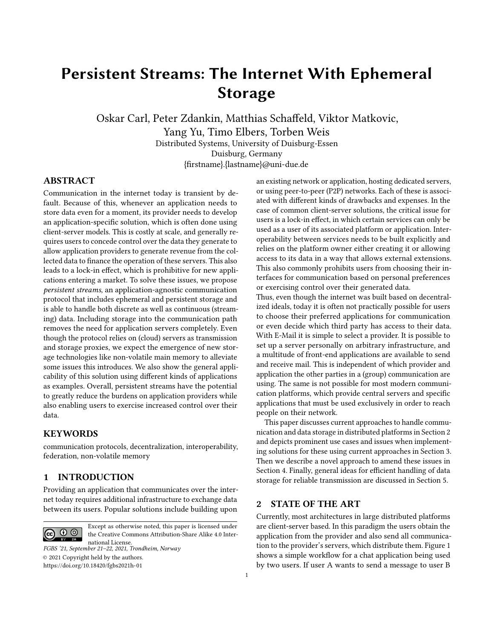# Persistent Streams: The Internet With Ephemeral Storage

Oskar Carl, Peter Zdankin, Matthias Schaffeld, Viktor Matkovic, Yang Yu, Timo Elbers, Torben Weis Distributed Systems, University of Duisburg-Essen

Duisburg, Germany {firstname}.{lastname}@uni-due.de

# ABSTRACT

Communication in the internet today is transient by default. Because of this, whenever an application needs to store data even for a moment, its provider needs to develop an application-specific solution, which is often done using client-server models. This is costly at scale, and generally requires users to concede control over the data they generate to allow application providers to generate revenue from the collected data to finance the operation of these servers. This also leads to a lock-in effect, which is prohibitive for new applications entering a market. To solve these issues, we propose persistent streams, an application-agnostic communication protocol that includes ephemeral and persistent storage and is able to handle both discrete as well as continuous (streaming) data. Including storage into the communication path removes the need for application servers completely. Even though the protocol relies on (cloud) servers as transmission and storage proxies, we expect the emergence of new storage technologies like non-volatile main memory to alleviate some issues this introduces. We also show the general applicability of this solution using different kinds of applications as examples. Overall, persistent streams have the potential to greatly reduce the burdens on application providers while also enabling users to exercise increased control over their data.

#### **KEYWORDS**

communication protocols, decentralization, interoperability, federation, non-volatile memory

## 1 INTRODUCTION

Providing an application that communicates over the internet today requires additional infrastructure to exchange data between its users. Popular solutions include building upon

Except as otherwise noted, this paper is licensed under the Creative Commons Attribution-Share Alike 4.0 International License. FGBS '21, September 21–22, 2021, Trondheim, Norway

© 2021 Copyright held by the authors. <https://doi.org/10.18420/fgbs2021h-01>

an existing network or application, hosting dedicated servers, or using peer-to-peer (P2P) networks. Each of these is associated with different kinds of drawbacks and expenses. In the case of common client-server solutions, the critical issue for users is a lock-in effect, in which certain services can only be used as a user of its associated platform or application. Interoperability between services needs to be built explicitly and relies on the platform owner either creating it or allowing access to its data in a way that allows external extensions. This also commonly prohibits users from choosing their interfaces for communication based on personal preferences or exercising control over their generated data.

Thus, even though the internet was built based on decentralized ideals, today it is often not practically possible for users to choose their preferred applications for communication or even decide which third party has access to their data. With E-Mail it is simple to select a provider. It is possible to set up a server personally on arbitrary infrastructure, and a multitude of front-end applications are available to send and receive mail. This is independent of which provider and application the other parties in a (group) communication are using. The same is not possible for most modern communication platforms, which provide central servers and specific applications that must be used exclusively in order to reach people on their network.

This paper discusses current approaches to handle communication and data storage in distributed platforms in Section [2](#page-0-0) and depicts prominent use cases and issues when implementing solutions for these using current approaches in Section [3.](#page-1-0) Then we describe a novel approach to amend these issues in Section [4.](#page-2-0) Finally, general ideas for efficient handling of data storage for reliable transmission are discussed in Section [5.](#page-4-0)

## <span id="page-0-0"></span>2 STATE OF THE ART

Currently, most architectures in large distributed platforms are client-server based. In this paradigm the users obtain the application from the provider and also send all communication to the provider's servers, which distribute them. Figure [1](#page-1-1) shows a simple workflow for a chat application being used by two users. If user A wants to send a message to user B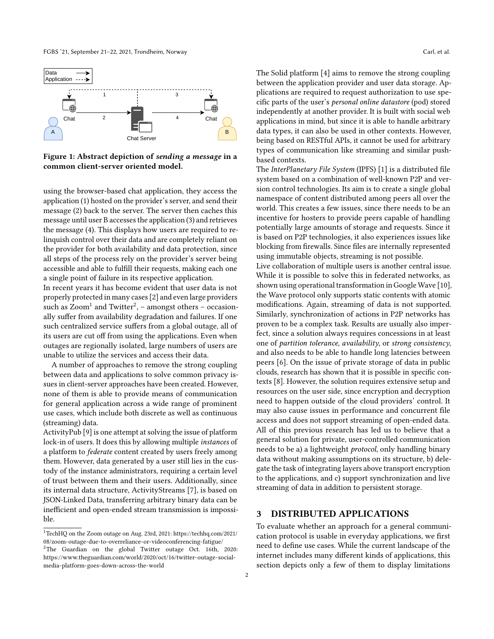<span id="page-1-1"></span>

Figure 1: Abstract depiction of sending a message in a common client-server oriented model.

using the browser-based chat application, they access the application (1) hosted on the provider's server, and send their message (2) back to the server. The server then caches this message until user B accesses the application (3) and retrieves the message (4). This displays how users are required to relinquish control over their data and are completely reliant on the provider for both availability and data protection, since all steps of the process rely on the provider's server being accessible and able to fulfill their requests, making each one a single point of failure in its respective application.

In recent years it has become evident that user data is not properly protected in many cases [\[2\]](#page-5-0) and even large providers such as  $\mathrm{Zoom^1}$  $\mathrm{Zoom^1}$  $\mathrm{Zoom^1}$  and  $\mathrm{Twitter^2},$  $\mathrm{Twitter^2},$  $\mathrm{Twitter^2},$  – amongst others – occasionally suffer from availability degradation and failures. If one such centralized service suffers from a global outage, all of its users are cut off from using the applications. Even when outages are regionally isolated, large numbers of users are unable to utilize the services and access their data.

A number of approaches to remove the strong coupling between data and applications to solve common privacy issues in client-server approaches have been created. However, none of them is able to provide means of communication for general application across a wide range of prominent use cases, which include both discrete as well as continuous (streaming) data.

ActivityPub [\[9\]](#page-5-1) is one attempt at solving the issue of platform lock-in of users. It does this by allowing multiple instances of a platform to federate content created by users freely among them. However, data generated by a user still lies in the custody of the instance administrators, requiring a certain level of trust between them and their users. Additionally, since its internal data structure, ActivityStreams [\[7\]](#page-5-2), is based on JSON-Linked Data, transferring arbitrary binary data can be inefficient and open-ended stream transmission is impossible.

The Solid platform [\[4\]](#page-5-3) aims to remove the strong coupling between the application provider and user data storage. Applications are required to request authorization to use specific parts of the user's personal online datastore (pod) stored independently at another provider. It is built with social web applications in mind, but since it is able to handle arbitrary data types, it can also be used in other contexts. However, being based on RESTful APIs, it cannot be used for arbitrary types of communication like streaming and similar pushbased contexts.

The InterPlanetary File System (IPFS) [\[1\]](#page-5-4) is a distributed file system based on a combination of well-known P2P and version control technologies. Its aim is to create a single global namespace of content distributed among peers all over the world. This creates a few issues, since there needs to be an incentive for hosters to provide peers capable of handling potentially large amounts of storage and requests. Since it is based on P2P technologies, it also experiences issues like blocking from firewalls. Since files are internally represented using immutable objects, streaming is not possible.

Live collaboration of multiple users is another central issue. While it is possible to solve this in federated networks, as shown using operational transformation in Google Wave [\[10\]](#page-5-5), the Wave protocol only supports static contents with atomic modifications. Again, streaming of data is not supported. Similarly, synchronization of actions in P2P networks has proven to be a complex task. Results are usually also imperfect, since a solution always requires concessions in at least one of partition tolerance, availability, or strong consistency, and also needs to be able to handle long latencies between peers [\[6\]](#page-5-6). On the issue of private storage of data in public clouds, research has shown that it is possible in specific contexts [\[8\]](#page-5-7). However, the solution requires extensive setup and resources on the user side, since encryption and decryption need to happen outside of the cloud providers' control. It may also cause issues in performance and concurrent file access and does not support streaming of open-ended data. All of this previous research has led us to believe that a general solution for private, user-controlled communication needs to be a) a lightweight protocol, only handling binary data without making assumptions on its structure, b) delegate the task of integrating layers above transport encryption to the applications, and c) support synchronization and live streaming of data in addition to persistent storage.

#### <span id="page-1-0"></span>3 DISTRIBUTED APPLICATIONS

To evaluate whether an approach for a general communication protocol is usable in everyday applications, we first need to define use cases. While the current landscape of the internet includes many different kinds of applications, this section depicts only a few of them to display limitations

<span id="page-1-2"></span> $^1$ TechHQ on the Zoom outage on Aug. 23rd, 2021: [https://techhq.com/2021/](https://techhq.com/2021/08/zoom-outage-due-to-overreliance-or-videoconferencing-fatigue/) [08/zoom-outage-due-to-overreliance-or-videoconferencing-fatigue/](https://techhq.com/2021/08/zoom-outage-due-to-overreliance-or-videoconferencing-fatigue/)

<span id="page-1-3"></span><sup>2</sup>The Guardian on the global Twitter outage Oct. 16th, 2020: [https://www.theguardian.com/world/2020/oct/16/twitter-outage-social](https://www.theguardian.com/world/2020/oct/16/twitter-outage-social-media-platform-goes-down-across-the-world)[media-platform-goes-down-across-the-world](https://www.theguardian.com/world/2020/oct/16/twitter-outage-social-media-platform-goes-down-across-the-world)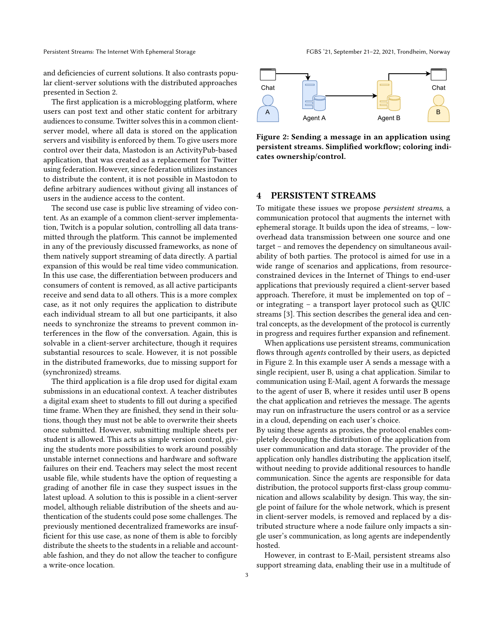and deficiencies of current solutions. It also contrasts popular client-server solutions with the distributed approaches presented in Section [2.](#page-0-0)

The first application is a microblogging platform, where users can post text and other static content for arbitrary audiences to consume. Twitter solves this in a common clientserver model, where all data is stored on the application servers and visibility is enforced by them. To give users more control over their data, Mastodon is an ActivityPub-based application, that was created as a replacement for Twitter using federation. However, since federation utilizes instances to distribute the content, it is not possible in Mastodon to define arbitrary audiences without giving all instances of users in the audience access to the content.

The second use case is public live streaming of video content. As an example of a common client-server implementation, Twitch is a popular solution, controlling all data transmitted through the platform. This cannot be implemented in any of the previously discussed frameworks, as none of them natively support streaming of data directly. A partial expansion of this would be real time video communication. In this use case, the differentiation between producers and consumers of content is removed, as all active participants receive and send data to all others. This is a more complex case, as it not only requires the application to distribute each individual stream to all but one participants, it also needs to synchronize the streams to prevent common interferences in the flow of the conversation. Again, this is solvable in a client-server architecture, though it requires substantial resources to scale. However, it is not possible in the distributed frameworks, due to missing support for (synchronized) streams.

The third application is a file drop used for digital exam submissions in an educational context. A teacher distributes a digital exam sheet to students to fill out during a specified time frame. When they are finished, they send in their solutions, though they must not be able to overwrite their sheets once submitted. However, submitting multiple sheets per student is allowed. This acts as simple version control, giving the students more possibilities to work around possibly unstable internet connections and hardware and software failures on their end. Teachers may select the most recent usable file, while students have the option of requesting a grading of another file in case they suspect issues in the latest upload. A solution to this is possible in a client-server model, although reliable distribution of the sheets and authentication of the students could pose some challenges. The previously mentioned decentralized frameworks are insufficient for this use case, as none of them is able to forcibly distribute the sheets to the students in a reliable and accountable fashion, and they do not allow the teacher to configure a write-once location.

<span id="page-2-1"></span>

Figure 2: Sending a message in an application using persistent streams. Simplified workflow; coloring indicates ownership/control.

# <span id="page-2-0"></span>4 PERSISTENT STREAMS

To mitigate these issues we propose persistent streams, a communication protocol that augments the internet with ephemeral storage. It builds upon the idea of streams, – lowoverhead data transmission between one source and one target – and removes the dependency on simultaneous availability of both parties. The protocol is aimed for use in a wide range of scenarios and applications, from resourceconstrained devices in the Internet of Things to end-user applications that previously required a client-server based approach. Therefore, it must be implemented on top of – or integrating – a transport layer protocol such as QUIC streams [\[3\]](#page-5-8). This section describes the general idea and central concepts, as the development of the protocol is currently in progress and requires further expansion and refinement.

When applications use persistent streams, communication flows through agents controlled by their users, as depicted in Figure [2.](#page-2-1) In this example user A sends a message with a single recipient, user B, using a chat application. Similar to communication using E-Mail, agent A forwards the message to the agent of user B, where it resides until user B opens the chat application and retrieves the message. The agents may run on infrastructure the users control or as a service in a cloud, depending on each user's choice.

By using these agents as proxies, the protocol enables completely decoupling the distribution of the application from user communication and data storage. The provider of the application only handles distributing the application itself, without needing to provide additional resources to handle communication. Since the agents are responsible for data distribution, the protocol supports first-class group communication and allows scalability by design. This way, the single point of failure for the whole network, which is present in client-server models, is removed and replaced by a distributed structure where a node failure only impacts a single user's communication, as long agents are independently hosted.

However, in contrast to E-Mail, persistent streams also support streaming data, enabling their use in a multitude of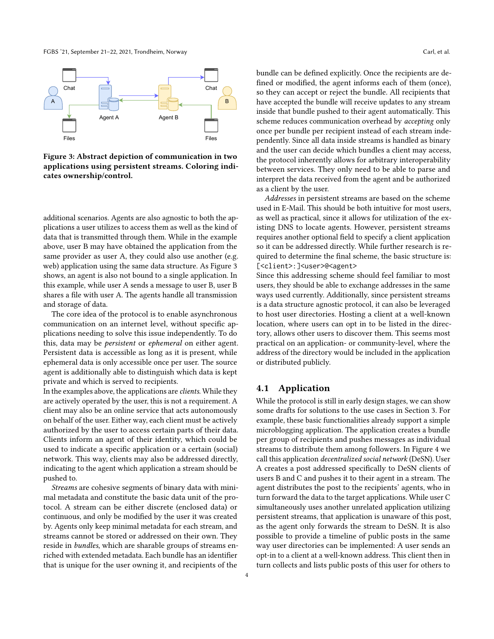FGBS '21, September 21–22, 2021, Trondheim, Norway Carl, et al.

<span id="page-3-0"></span>

Figure 3: Abstract depiction of communication in two applications using persistent streams. Coloring indicates ownership/control.

additional scenarios. Agents are also agnostic to both the applications a user utilizes to access them as well as the kind of data that is transmitted through them. While in the example above, user B may have obtained the application from the same provider as user A, they could also use another (e.g. web) application using the same data structure. As Figure [3](#page-3-0) shows, an agent is also not bound to a single application. In this example, while user A sends a message to user B, user B shares a file with user A. The agents handle all transmission and storage of data.

The core idea of the protocol is to enable asynchronous communication on an internet level, without specific applications needing to solve this issue independently. To do this, data may be persistent or ephemeral on either agent. Persistent data is accessible as long as it is present, while ephemeral data is only accessible once per user. The source agent is additionally able to distinguish which data is kept private and which is served to recipients.

In the examples above, the applications are clients. While they are actively operated by the user, this is not a requirement. A client may also be an online service that acts autonomously on behalf of the user. Either way, each client must be actively authorized by the user to access certain parts of their data. Clients inform an agent of their identity, which could be used to indicate a specific application or a certain (social) network. This way, clients may also be addressed directly, indicating to the agent which application a stream should be pushed to.

Streams are cohesive segments of binary data with minimal metadata and constitute the basic data unit of the protocol. A stream can be either discrete (enclosed data) or continuous, and only be modified by the user it was created by. Agents only keep minimal metadata for each stream, and streams cannot be stored or addressed on their own. They reside in bundles, which are sharable groups of streams enriched with extended metadata. Each bundle has an identifier that is unique for the user owning it, and recipients of the

bundle can be defined explicitly. Once the recipients are defined or modified, the agent informs each of them (once), so they can accept or reject the bundle. All recipients that have accepted the bundle will receive updates to any stream inside that bundle pushed to their agent automatically. This scheme reduces communication overhead by accepting only once per bundle per recipient instead of each stream independently. Since all data inside streams is handled as binary and the user can decide which bundles a client may access, the protocol inherently allows for arbitrary interoperability between services. They only need to be able to parse and interpret the data received from the agent and be authorized as a client by the user.

Addresses in persistent streams are based on the scheme used in E-Mail. This should be both intuitive for most users, as well as practical, since it allows for utilization of the existing DNS to locate agents. However, persistent streams requires another optional field to specify a client application so it can be addressed directly. While further research is required to determine the final scheme, the basic structure is: [<client>:]<user>@<agent>

Since this addressing scheme should feel familiar to most users, they should be able to exchange addresses in the same ways used currently. Additionally, since persistent streams is a data structure agnostic protocol, it can also be leveraged to host user directories. Hosting a client at a well-known location, where users can opt in to be listed in the directory, allows other users to discover them. This seems most practical on an application- or community-level, where the address of the directory would be included in the application or distributed publicly.

## 4.1 Application

While the protocol is still in early design stages, we can show some drafts for solutions to the use cases in Section [3.](#page-1-0) For example, these basic functionalities already support a simple microblogging application. The application creates a bundle per group of recipients and pushes messages as individual streams to distribute them among followers. In Figure [4](#page-4-1) we call this application decentralized social network (DeSN). User A creates a post addressed specifically to DeSN clients of users B and C and pushes it to their agent in a stream. The agent distributes the post to the recipients' agents, who in turn forward the data to the target applications. While user C simultaneously uses another unrelated application utilizing persistent streams, that application is unaware of this post, as the agent only forwards the stream to DeSN. It is also possible to provide a timeline of public posts in the same way user directories can be implemented: A user sends an opt-in to a client at a well-known address. This client then in turn collects and lists public posts of this user for others to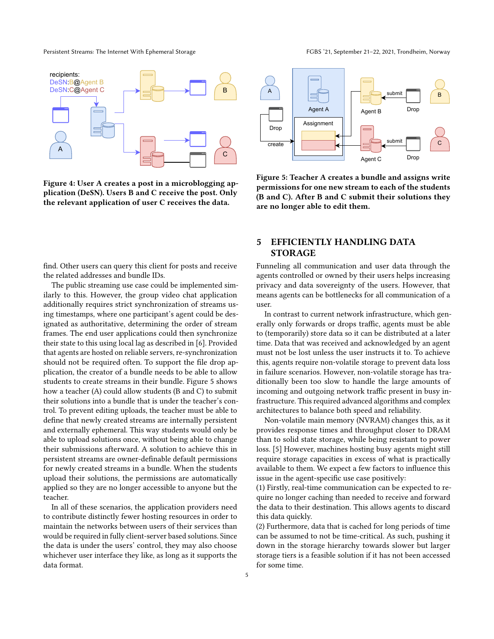<span id="page-4-1"></span>

Figure 4: User A creates a post in a microblogging application (DeSN). Users B and C receive the post. Only the relevant application of user C receives the data.

<span id="page-4-2"></span>

Figure 5: Teacher A creates a bundle and assigns write permissions for one new stream to each of the students (B and C). After B and C submit their solutions they are no longer able to edit them.

# <span id="page-4-0"></span>5 EFFICIENTLY HANDLING DATA STORAGE

Funneling all communication and user data through the agents controlled or owned by their users helps increasing privacy and data sovereignty of the users. However, that means agents can be bottlenecks for all communication of a user.

In contrast to current network infrastructure, which generally only forwards or drops traffic, agents must be able to (temporarily) store data so it can be distributed at a later time. Data that was received and acknowledged by an agent must not be lost unless the user instructs it to. To achieve this, agents require non-volatile storage to prevent data loss in failure scenarios. However, non-volatile storage has traditionally been too slow to handle the large amounts of incoming and outgoing network traffic present in busy infrastructure. This required advanced algorithms and complex architectures to balance both speed and reliability.

Non-volatile main memory (NVRAM) changes this, as it provides response times and throughput closer to DRAM than to solid state storage, while being resistant to power loss. [\[5\]](#page-5-9) However, machines hosting busy agents might still require storage capacities in excess of what is practically available to them. We expect a few factors to influence this issue in the agent-specific use case positively:

(1) Firstly, real-time communication can be expected to require no longer caching than needed to receive and forward the data to their destination. This allows agents to discard this data quickly.

(2) Furthermore, data that is cached for long periods of time can be assumed to not be time-critical. As such, pushing it down in the storage hierarchy towards slower but larger storage tiers is a feasible solution if it has not been accessed for some time.

find. Other users can query this client for posts and receive the related addresses and bundle IDs.

The public streaming use case could be implemented similarly to this. However, the group video chat application additionally requires strict synchronization of streams using timestamps, where one participant's agent could be designated as authoritative, determining the order of stream frames. The end user applications could then synchronize their state to this using local lag as described in [\[6\]](#page-5-6). Provided that agents are hosted on reliable servers, re-synchronization should not be required often. To support the file drop application, the creator of a bundle needs to be able to allow students to create streams in their bundle. Figure [5](#page-4-2) shows how a teacher (A) could allow students (B and C) to submit their solutions into a bundle that is under the teacher's control. To prevent editing uploads, the teacher must be able to define that newly created streams are internally persistent and externally ephemeral. This way students would only be able to upload solutions once, without being able to change their submissions afterward. A solution to achieve this in persistent streams are owner-definable default permissions for newly created streams in a bundle. When the students upload their solutions, the permissions are automatically applied so they are no longer accessible to anyone but the teacher.

In all of these scenarios, the application providers need to contribute distinctly fewer hosting resources in order to maintain the networks between users of their services than would be required in fully client-server based solutions. Since the data is under the users' control, they may also choose whichever user interface they like, as long as it supports the data format.